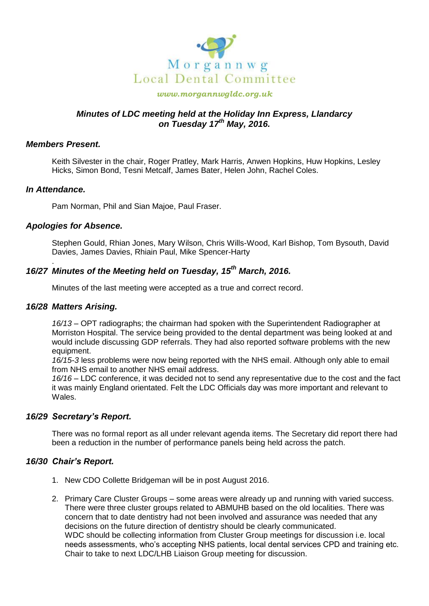

### *www.morgannwgldc.org.uk*

## *Minutes of LDC meeting held at the Holiday Inn Express, Llandarcy on Tuesday 17th May, 2016.*

## *Members Present.*

Keith Silvester in the chair, Roger Pratley, Mark Harris, Anwen Hopkins, Huw Hopkins, Lesley Hicks, Simon Bond, Tesni Metcalf, James Bater, Helen John, Rachel Coles.

### *In Attendance.*

.

Pam Norman, Phil and Sian Majoe, Paul Fraser.

## *Apologies for Absence.*

Stephen Gould, Rhian Jones, Mary Wilson, Chris Wills-Wood, Karl Bishop, Tom Bysouth, David Davies, James Davies, Rhiain Paul, Mike Spencer-Harty

# *16/27 Minutes of the Meeting held on Tuesday, 15th March, 2016.*

Minutes of the last meeting were accepted as a true and correct record.

### *16/28 Matters Arising.*

*16/13* – OPT radiographs; the chairman had spoken with the Superintendent Radiographer at Morriston Hospital. The service being provided to the dental department was being looked at and would include discussing GDP referrals. They had also reported software problems with the new equipment.

*16/15-3* less problems were now being reported with the NHS email. Although only able to email from NHS email to another NHS email address.

*16/16* – LDC conference, it was decided not to send any representative due to the cost and the fact it was mainly England orientated. Felt the LDC Officials day was more important and relevant to Wales.

## *16/29 Secretary's Report.*

There was no formal report as all under relevant agenda items. The Secretary did report there had been a reduction in the number of performance panels being held across the patch.

## *16/30 Chair's Report.*

- 1. New CDO Collette Bridgeman will be in post August 2016.
- 2. Primary Care Cluster Groups some areas were already up and running with varied success. There were three cluster groups related to ABMUHB based on the old localities. There was concern that to date dentistry had not been involved and assurance was needed that any decisions on the future direction of dentistry should be clearly communicated. WDC should be collecting information from Cluster Group meetings for discussion i.e. local needs assessments, who's accepting NHS patients, local dental services CPD and training etc. Chair to take to next LDC/LHB Liaison Group meeting for discussion.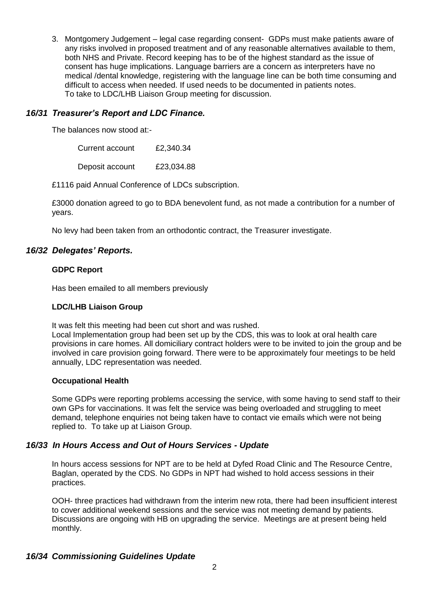3. Montgomery Judgement – legal case regarding consent- GDPs must make patients aware of any risks involved in proposed treatment and of any reasonable alternatives available to them, both NHS and Private. Record keeping has to be of the highest standard as the issue of consent has huge implications. Language barriers are a concern as interpreters have no medical /dental knowledge, registering with the language line can be both time consuming and difficult to access when needed. If used needs to be documented in patients notes. To take to LDC/LHB Liaison Group meeting for discussion.

## *16/31 Treasurer's Report and LDC Finance.*

The balances now stood at:-

| Current account | £2,340.34  |
|-----------------|------------|
| Deposit account | £23,034.88 |

£1116 paid Annual Conference of LDCs subscription.

£3000 donation agreed to go to BDA benevolent fund, as not made a contribution for a number of years.

No levy had been taken from an orthodontic contract, the Treasurer investigate.

## *16/32 Delegates' Reports.*

### **GDPC Report**

Has been emailed to all members previously

### **LDC/LHB Liaison Group**

It was felt this meeting had been cut short and was rushed.

Local Implementation group had been set up by the CDS, this was to look at oral health care provisions in care homes. All domiciliary contract holders were to be invited to join the group and be involved in care provision going forward. There were to be approximately four meetings to be held annually, LDC representation was needed.

## **Occupational Health**

Some GDPs were reporting problems accessing the service, with some having to send staff to their own GPs for vaccinations. It was felt the service was being overloaded and struggling to meet demand, telephone enquiries not being taken have to contact vie emails which were not being replied to. To take up at Liaison Group.

## *16/33 In Hours Access and Out of Hours Services - Update*

In hours access sessions for NPT are to be held at Dyfed Road Clinic and The Resource Centre, Baglan, operated by the CDS. No GDPs in NPT had wished to hold access sessions in their practices.

OOH- three practices had withdrawn from the interim new rota, there had been insufficient interest to cover additional weekend sessions and the service was not meeting demand by patients. Discussions are ongoing with HB on upgrading the service. Meetings are at present being held monthly.

## *16/34 Commissioning Guidelines Update*